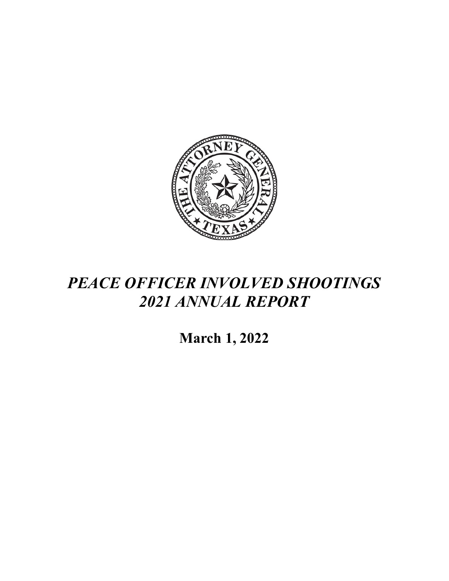

## *PEACE OFFICER INVOLVED SHOOTINGS 2021 ANNUAL REPORT*

**March 1, 2022**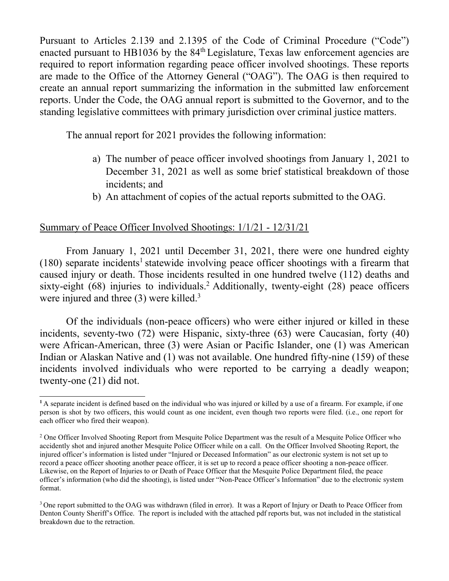Pursuant to Articles 2.139 and 2.1395 of the Code of Criminal Procedure ("Code") enacted pursuant to HB1036 by the  $84<sup>th</sup>$  Legislature, Texas law enforcement agencies are required to report information regarding peace officer involved shootings. These reports are made to the Office of the Attorney General ("OAG"). The OAG is then required to create an annual report summarizing the information in the submitted law enforcement reports. Under the Code, the OAG annual report is submitted to the Governor, and to the standing legislative committees with primary jurisdiction over criminal justice matters.

The annual report for 2021 provides the following information:

- a) The number of peace officer involved shootings from January 1, 2021 to December 31, 2021 as well as some brief statistical breakdown of those incidents; and
- b) An attachment of copies of the actual reports submitted to the OAG.

## Summary of Peace Officer Involved Shootings: 1/1/21 - 12/31/21

From January 1, 2021 until December 31, 2021, there were one hundred eighty  $(180)$  separate incidents<sup>1</sup> statewide involving peace officer shootings with a firearm that caused injury or death. Those incidents resulted in one hundred twelve (112) deaths and sixty-eight  $(68)$  injuries to individuals.<sup>2</sup> Additionally, twenty-eight  $(28)$  peace officers were injured and three (3) were killed.<sup>3</sup>

Of the individuals (non-peace officers) who were either injured or killed in these incidents, seventy-two (72) were Hispanic, sixty-three (63) were Caucasian, forty (40) were African-American, three (3) were Asian or Pacific Islander, one (1) was American Indian or Alaskan Native and (1) was not available. One hundred fifty-nine (159) of these incidents involved individuals who were reported to be carrying a deadly weapon; twenty-one (21) did not.

<sup>&</sup>lt;sup>1</sup>A separate incident is defined based on the individual who was injured or killed by a use of a firearm. For example, if one person is shot by two officers, this would count as one incident, even though two reports were filed. (i.e., one report for each officer who fired their weapon).

<sup>&</sup>lt;sup>2</sup> One Officer Involved Shooting Report from Mesquite Police Department was the result of a Mesquite Police Officer who accidently shot and injured another Mesquite Police Officer while on a call. On the Officer Involved Shooting Report, the injured officer's information is listed under "Injured or Deceased Information" as our electronic system is not set up to record a peace officer shooting another peace officer, it is set up to record a peace officer shooting a non-peace officer. Likewise, on the Report of Injuries to or Death of Peace Officer that the Mesquite Police Department filed, the peace officer's information (who did the shooting), is listed under "Non-Peace Officer's Information" due to the electronic system format.

<sup>&</sup>lt;sup>3</sup> One report submitted to the OAG was withdrawn (filed in error). It was a Report of Injury or Death to Peace Officer from Denton County Sheriff's Office. The report is included with the attached pdf reports but, was not included in the statistical breakdown due to the retraction.